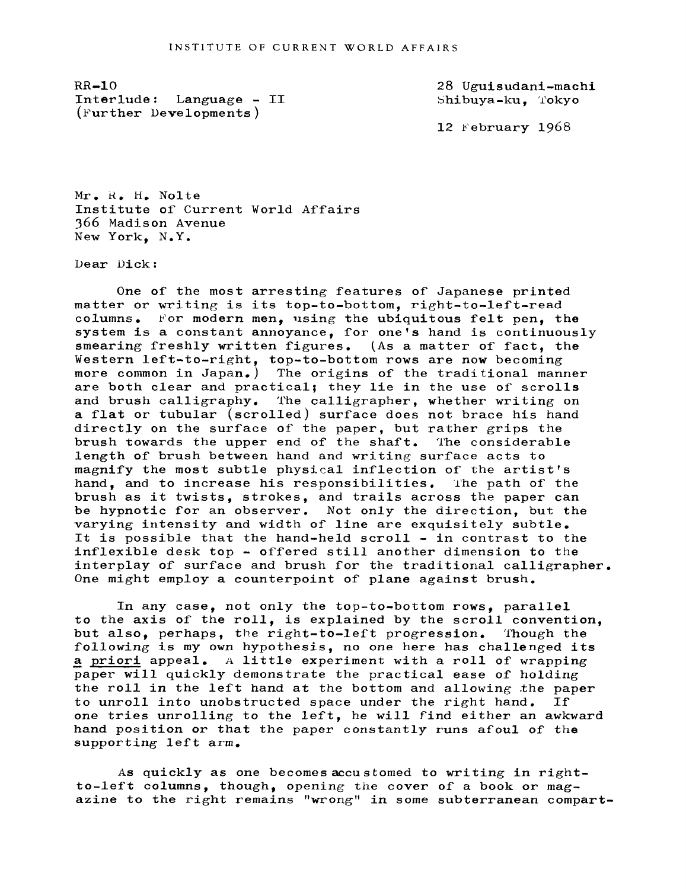$RR-10$ Interlude: Language - II (Further Developments )

28 Uguisudani-machi Shibuya-ku. Tokyo

12  $F$ ebruary 1968

Mr. R. H. Nolte Institute of Current World Affairs 366 Madison Avenue New York, N.Y.

Dear Dick:

One of the most arresting features of Japanese printed matter or writing is its top-to-bottom, right-to-left-read columns. 'or modern men, using the ubiquitous felt pen, the system is a constant annoyance, for one's hand is continuously smearing freshly written figures. (As a matter of fact, the Western left-to-right, top-to-bottom rows are now becoming more common in Japan.) The origins of the traditional manner are both clear and practical; they lie in the use of scrolls and brush calligraphy. The calligrapher, whether writing on a flat or tubular (scrolled) surface does not brace his hand directly on the surface of the paper, but rather grips the brush towards the upper end of the shaft. The considerable length of brush between hand and writing surface acts to magnify the most subtle physical inflection of the artist's hand, and to increase his responsibilities. The path of the brush as it twists, strokes, and trails across the paper can be hypnotic for an observer. Not only the direction, but the varying intensity and width of line are exquisitely subtle. It is possible that the hand-held scroll - in contrast to the inflexible desk top - offered still another dimension to the interplay of surface and brush for the traditional calligrapher. One might employ a counterpoint of plane against brush.

In any case, not only the top-to-bottom rows, parallel to the axis of the roll, is explained by the scroll convention, but also, perhaps, the right-to-left progression. fhough the following is my own hypothesis, no one here has challenged its a priori appeal. A little experiment with a roll of wrapping paper will quickly demonstrate the practical ease of holding the roll in the left hand at the bottom and allowing the paper to unroll into unobstructed space under the right hand. If one tries unrolling to the left, he will find either an awkward hand position or that the paper constantly runs afoul of the supporting left arm.

As quickly as one becomes accustomed to writing in rightto-left columns, though, opening the cover of a book or magazine to the right remains "wrong" in some subterranean compart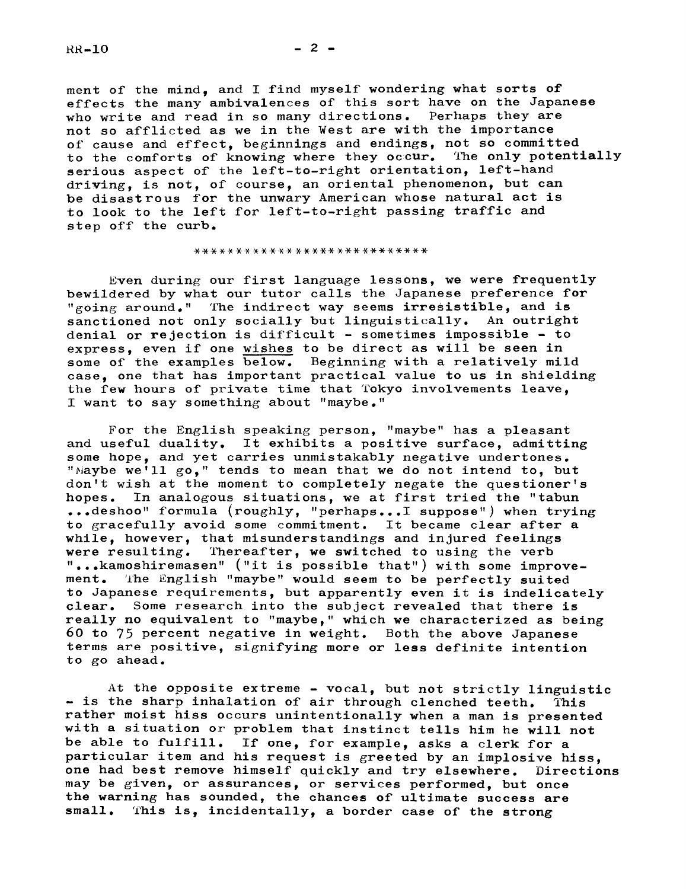$RR-10$ 

ment of the mind, and I find myself wondering what sorts of effects the many ambivalences of this sort have on the Japanese who write and read in so many directions. Perhaps they are not so afflicted as we in the West are with the importance of cause and effect, beginnings and endings, not so committed to the comforts of knowing where they occur. The only potentially serious aspect of the left-to-right orientation, left-hand driving, is not, of course, an oriental phenomenon, but can be disastrous for the unwary American whose natural act is to look to the left for left-to-right passing traffic and step off the curb.

## \*\*\*\*\*\*\*\*\*\*\*\*\*\*\*\*\*\*\*\*\*\*\*\*\*\*\*\*

Even during our first language lessons, we were frequently bewildered by what our tutor calls the Japanese preference for "going around." The indirect way seems irresistible, and is sanctioned not only socially but linguistically. An outright denial or rejection is difficult - sometimes impossible - to express, even if one wishes to be direct as will be seen in some of the examples below. Beginning with a relatively mild case, one that has important practical value to us in shielding the few hours of private time that Tokyo involvements leave, I want to say something about "maybe."

For the English speaking person, "maybe" has a pleasant and useful duality. It exhibits a positive surface, admitting some hope, and yet carries unmistakably negative undertones. "Maybe we'll go," tends to mean that we do not intend to, but don't wish at the moment to completely negate the questioner's hopes. In analogous situations, we at first tried the "tabun ...deshoo" formula (roughly, "perhaps...I suppose") when trying to gracefully avoid some commitment. It became clear after a while, however, that misunderstandings and injured feelings were resulting. Thereafter, we switched to using the verb Thereafter, we switched to using the verb "...kamoshiremasen" ("it is possible that") with some improvement. The English "maybe" would seem to be perfectly suited to Japanese requirements, but apparently even it is indelicately clear. Some research into the subject revealed that there is really no equivalent to "maybe," which we characterized as being 60 to 75 percent negative in weight. Both the above Japanese terms are positive, signifying more or less definite intention to go ahead.

At the opposite extreme - vocal, but not strictly linguistic - is the sharp inhalation of air through clenched teeth. This rather moist hiss occurs unintentionally when a man is presented with a situation or problem that instinct tells him he will not be able to fulfill. If one, for example, asks a clerk for a particular item and his request is greeted by an implosive hiss, one had best remove himself quickly and try elsewhere. Directions may be given, or assurances, or services performed, but once the warning has sounded, the chances of ultimate success are small. This is, incidentally, a border case of the strong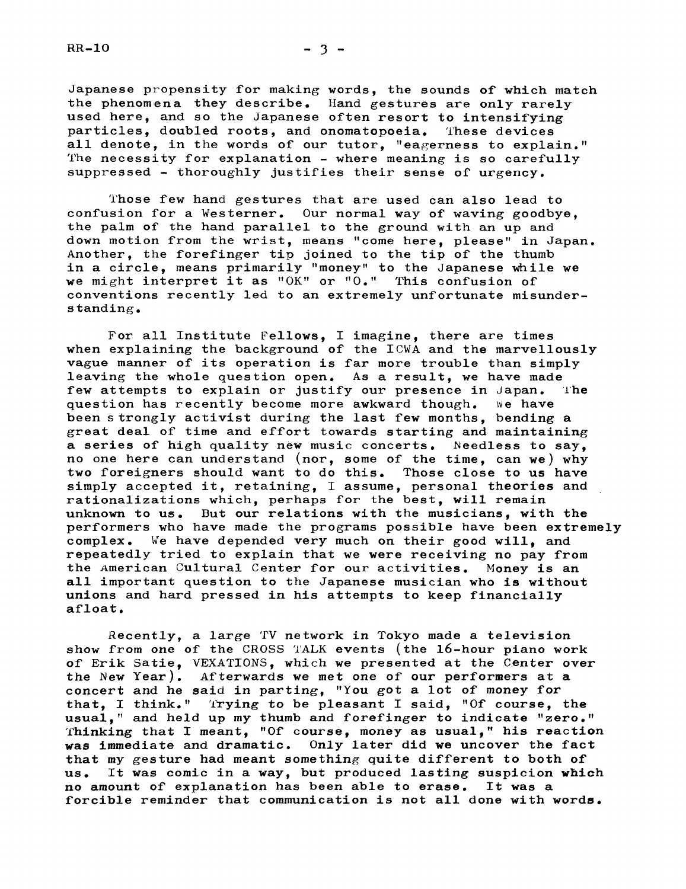$RR-10$   $-3$   $-$ 

Japanese propensity for making words, the sounds of which match the phenomena they describe. Hand gestures are only rarely used here, and so the japanese often resort to intensifying particles, doubled roots, and onomatopoeia. These devices all denote, in the words of our tutor, "eagerness to explain." The necessity for explanation - where meaning is so carefully

suppressed- thoroughly justifies their sense of urgency.

Those few hand gestures that are used can also lead to confusion for a Westerner. Our normal way of waving goodbye, the palm of the hand parallel to the ground with an up and down motion from the wrist, means "come here, please" in Japan. Another, the forefinger tip joined to the tip of the thumb in a circle, means primarily "money" to the Japanese while we we might interpret it as "OK" or "0." This confusion of conventions recently led to an extremely unfortunate misunders tanding.

For all Institute Fellows, I imagine, there are times when explaining the background of the ICWA and the marvellously vague manner of its operation is far more trouble than simply leaving the whole question open. As a result, we have made<br>few attempts to explain or justify our presence in Japan. The few attempts to explain or justify our presence in Japan. question has recently become more awkward though. We have been strongly activist during the last few months, bending a great deal of time and effort towards starting and maintaining a series of high quality new music concerts. Needless to say, no one here can understand (nor, some of the time, can we) why two foreigners should want to do this. Those close to us have simply accepted it, retaining, I assume, personal theories and rationalizations which, perhaps for the best, will remain unknown to us. But our relations with the musicians, with the performers who have made the programs possible have been extremely complex. %e have depended very much on their good will, and repeatedly tried to explain that we were receiving no pay from the American Cultural Center for our activities. Money is an all important question to the Japanese musician who is without unions and hard pressed in his attempts to keep financially afloat.

Recently, a large 'fV network in Tokyo made a television show from one of the CROSS TALK events (the 16-hour piano work of Erik Satie, VEXATIONS, which we presented at the Center over the New Year). Afterwards we met one of our performers at a concert and he said in parting, "You got a lot of money for that, I think." 'lying to be pleasant I said, "Of course, the usual," and held up my thumb and forefinger to indicate "zero." rfhinking that I meant, "Of course, money as usual," his reaction was immediate and dramatic. Only later did we uncover the fact that my gesture had meant something quite different to both of us. It was comic in a way, but produced lasting suspicion which no amount of explanation has been able to erase. It was a forcible reminder that communication is not all done with words.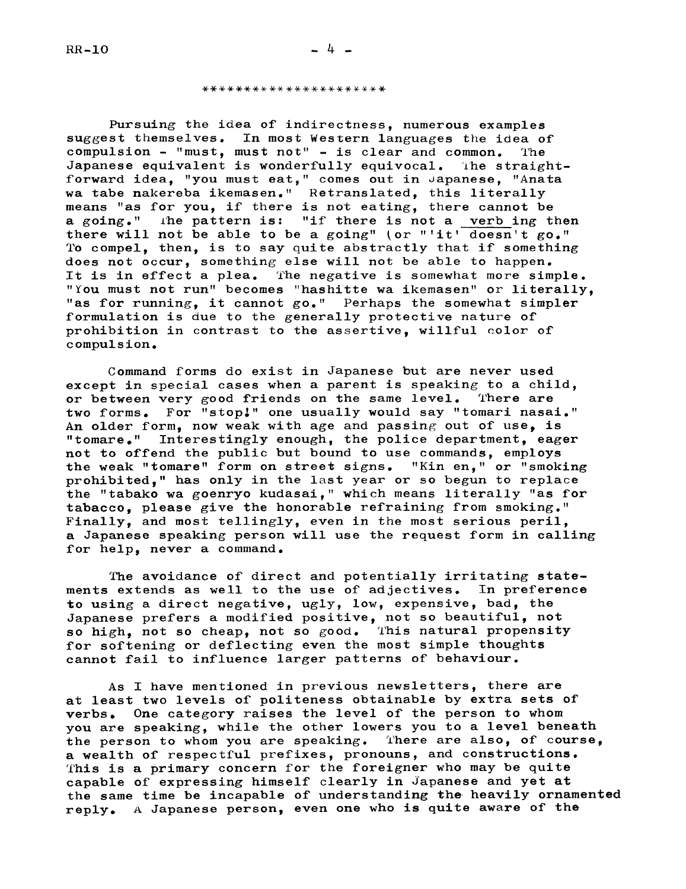## \*\*\*\*\*\*\*\*\*\*\*\*\*\*\*\*\*\*\*\*\*\*

Pursuing the idea of indirectness, numerous examples suggest themselves. In most Western languages the idea of compulsion  $-$  "must, must not" - is clear and common. The Japanese equivalent is wonderfully equivocal. ihe straightforward idea, "you must eat," comes out in Japanese, "Anata wa tabe nakereba ikemasen." Retranslated, this literally means "as for you, if there is not eating, there cannot be a going." he pattern is: "if there is not a verb ing then there will not be able to be a going" (or "'it' doesn't go." To compel, then, is to say quite abstractly that if something does not occur, something else will not be able to happen. It is in effect a plea. The negative is somewhat more simple. "You must not run" becomes "hashitte wa ikemasen" or literally, "as for running, it cannot go." Perhaps the somewhat simpler formulation is due to the generally protective nature of prohibition in contrast to the assertive, willful color of compulsion.

Command forms do exist in Japanese but are never used except in special cases when a parent is speaking to a child,<br>or between very good friends on the same level. There are or between very good friends on the same level. two forms. For "stop.'" one usually would say "tomari nasai." An older form, now weak with age and passing out of use, is "tomare." Interestingly enough, the police department, eager not to offend the public but bound to use commands, employs the weak "tomare" form on street signs. "Kin en," or "smoking prohibited," has only in the last year or so begun to replace the "tabako wa goenryo kudasai," whlch means literally "as for tabacco, please give the honorable refraining from smoking." Finally, and most tellingly, even in the most serious peril, a Japanese speaking person will use the request form in calling for help, never a command.

The avoidance of direct and potentially irritating statements extends as well to the use of adjectives. In preference to using a direct negative, ugly, low, expensive, bad, the Japanese prefers a modified positive, not so beautiful, not so high, not so cheap, not so good. This natural propensity for softening or deflecting even the most simple thoughts cannot fail to influence larger patterns of behaviour.

As I have mentioned in previous newsletters, there are at least two levels of politeness obtainable by extra sets of verbs. One category raises the level of the person to whom you are speaking, while the other lowers you to a level beneath the person to whom you are speaking. There are also, of course, a wealth of respectful prefixes, pronouns, and constructions. This is a primary concern for the foreigner who may be quite capable of expressing himself clearly in Japanese and yet at the same time be incapable of understanding the heavily ornamented reply. A Japanese person, even one who is quite aware of the